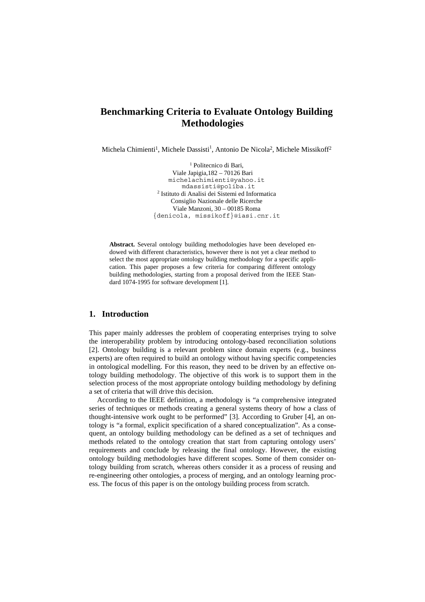# **Benchmarking Criteria to Evaluate Ontology Building Methodologies**

Michela Chimienti<sup>1</sup>, Michele Dassisti<sup>1</sup>, Antonio De Nicola<sup>2</sup>, Michele Missikoff<sup>2</sup>

<sup>1</sup> Politecnico di Bari, Viale Japigia,182 – 70126 Bari michelachimienti@yahoo.it mdassisti@poliba.it 2 Istituto di Analisi dei Sistemi ed Informatica Consiglio Nazionale delle Ricerche Viale Manzoni, 30 – 00185 Roma {denicola, missikoff}@iasi.cnr.it

**Abstract.** Several ontology building methodologies have been developed endowed with different characteristics, however there is not yet a clear method to select the most appropriate ontology building methodology for a specific application. This paper proposes a few criteria for comparing different ontology building methodologies, starting from a proposal derived from the IEEE Standard 1074-1995 for software development [1].

### **1. Introduction**

This paper mainly addresses the problem of cooperating enterprises trying to solve the interoperability problem by introducing ontology-based reconciliation solutions [2]. Ontology building is a relevant problem since domain experts (e.g., business experts) are often required to build an ontology without having specific competencies in ontological modelling. For this reason, they need to be driven by an effective ontology building methodology. The objective of this work is to support them in the selection process of the most appropriate ontology building methodology by defining a set of criteria that will drive this decision.

According to the IEEE definition, a methodology is "a comprehensive integrated series of techniques or methods creating a general systems theory of how a class of thought-intensive work ought to be performed" [3]. According to Gruber [4], an ontology is "a formal, explicit specification of a shared conceptualization". As a consequent, an ontology building methodology can be defined as a set of techniques and methods related to the ontology creation that start from capturing ontology users' requirements and conclude by releasing the final ontology. However, the existing ontology building methodologies have different scopes. Some of them consider ontology building from scratch, whereas others consider it as a process of reusing and re-engineering other ontologies, a process of merging, and an ontology learning process. The focus of this paper is on the ontology building process from scratch.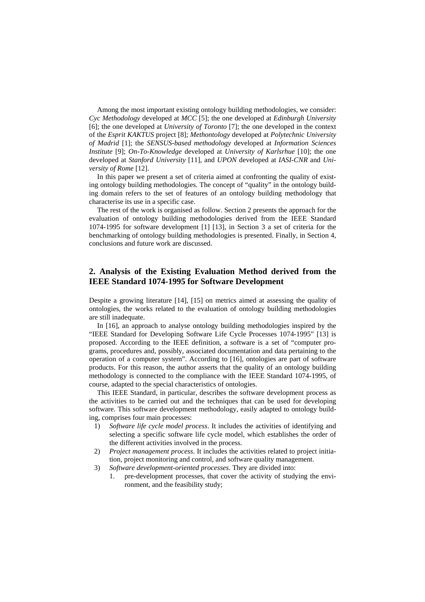Among the most important existing ontology building methodologies, we consider: *Cyc Methodology* developed at *MCC* [5]; the one developed at *Edinburgh University* [6]; the one developed at *University of Toronto* [7]; the one developed in the context of the *Esprit KAKTUS* project [8]; *Methontology* developed at *Polytechnic University of Madrid* [1]; the *SENSUS-based methodology* developed at *Information Sciences Institute* [9]; *On-To-Knowledge* developed at *University of Karlsrhue* [10]; the one developed at *Stanford University* [11], and *UPON* developed at *IASI-CNR* and *University of Rome* [12].

In this paper we present a set of criteria aimed at confronting the quality of existing ontology building methodologies. The concept of "quality" in the ontology building domain refers to the set of features of an ontology building methodology that characterise its use in a specific case.

The rest of the work is organised as follow. Section 2 presents the approach for the evaluation of ontology building methodologies derived from the IEEE Standard 1074-1995 for software development [1] [13], in Section 3 a set of criteria for the benchmarking of ontology building methodologies is presented. Finally, in Section 4, conclusions and future work are discussed.

## **2. Analysis of the Existing Evaluation Method derived from the IEEE Standard 1074-1995 for Software Development**

Despite a growing literature [14], [15] on metrics aimed at assessing the quality of ontologies, the works related to the evaluation of ontology building methodologies are still inadequate.

In [16], an approach to analyse ontology building methodologies inspired by the "IEEE Standard for Developing Software Life Cycle Processes 1074-1995" [13] is proposed. According to the IEEE definition, a software is a set of "computer programs, procedures and, possibly, associated documentation and data pertaining to the operation of a computer system". According to [16], ontologies are part of software products. For this reason, the author asserts that the quality of an ontology building methodology is connected to the compliance with the IEEE Standard 1074-1995, of course, adapted to the special characteristics of ontologies.

This IEEE Standard, in particular, describes the software development process as the activities to be carried out and the techniques that can be used for developing software. This software development methodology, easily adapted to ontology building, comprises four main processes:

- 1) *Software life cycle model process*. It includes the activities of identifying and selecting a specific software life cycle model, which establishes the order of the different activities involved in the process.
- 2) *Project management process*. It includes the activities related to project initiation, project monitoring and control, and software quality management.
- 3) *Software development-oriented processes*. They are divided into:
	- 1. pre-development processes, that cover the activity of studying the environment, and the feasibility study;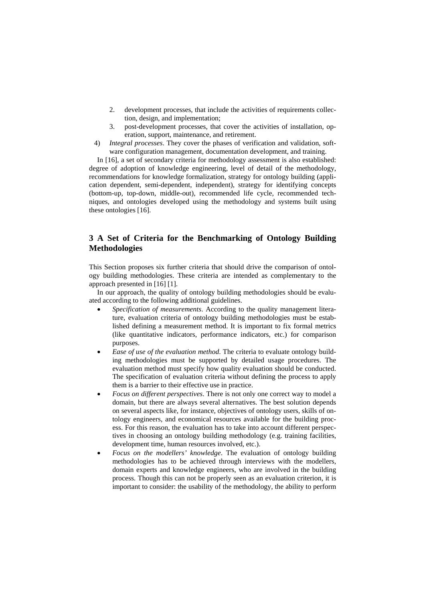- 2. development processes, that include the activities of requirements collection, design, and implementation;
- 3. post-development processes, that cover the activities of installation, operation, support, maintenance, and retirement.
- 4) *Integral processes*. They cover the phases of verification and validation, software configuration management, documentation development, and training.

In [16], a set of secondary criteria for methodology assessment is also established: degree of adoption of knowledge engineering, level of detail of the methodology, recommendations for knowledge formalization, strategy for ontology building (application dependent, semi-dependent, independent), strategy for identifying concepts (bottom-up, top-down, middle-out), recommended life cycle, recommended techniques, and ontologies developed using the methodology and systems built using these ontologies [16].

## **3 A Set of Criteria for the Benchmarking of Ontology Building Methodologies**

This Section proposes six further criteria that should drive the comparison of ontology building methodologies. These criteria are intended as complementary to the approach presented in [16] [1].

In our approach, the quality of ontology building methodologies should be evaluated according to the following additional guidelines.

- *Specification of measurements*. According to the quality management literature, evaluation criteria of ontology building methodologies must be established defining a measurement method. It is important to fix formal metrics (like quantitative indicators, performance indicators, etc.) for comparison purposes.
- *Ease of use of the evaluation method*. The criteria to evaluate ontology building methodologies must be supported by detailed usage procedures. The evaluation method must specify how quality evaluation should be conducted. The specification of evaluation criteria without defining the process to apply them is a barrier to their effective use in practice.
- *Focus on different perspectives*. There is not only one correct way to model a domain, but there are always several alternatives. The best solution depends on several aspects like, for instance, objectives of ontology users, skills of ontology engineers, and economical resources available for the building process. For this reason, the evaluation has to take into account different perspectives in choosing an ontology building methodology (e.g. training facilities, development time, human resources involved, etc.).
- *Focus on the modellers' knowledge*. The evaluation of ontology building methodologies has to be achieved through interviews with the modellers, domain experts and knowledge engineers, who are involved in the building process. Though this can not be properly seen as an evaluation criterion, it is important to consider: the usability of the methodology, the ability to perform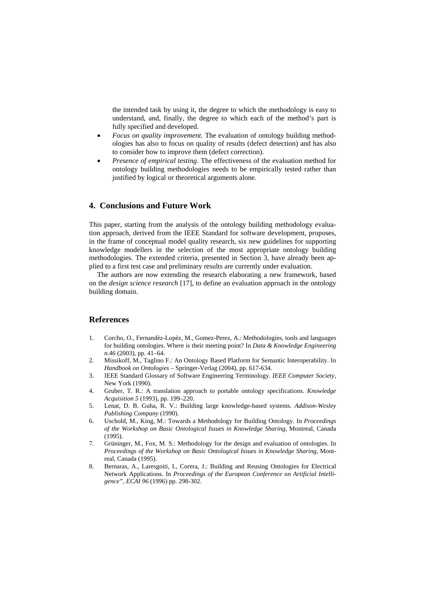the intended task by using it, the degree to which the methodology is easy to understand, and, finally, the degree to which each of the method's part is fully specified and developed.

- *Focus on quality improvement*. The evaluation of ontology building methodologies has also to focus on quality of results (defect detection) and has also to consider how to improve them (defect correction).
- *Presence of empirical testing*. The effectiveness of the evaluation method for ontology building methodologies needs to be empirically tested rather than justified by logical or theoretical arguments alone.

### **4. Conclusions and Future Work**

This paper, starting from the analysis of the ontology building methodology evaluation approach, derived from the IEEE Standard for software development, proposes, in the frame of conceptual model quality research, six new guidelines for supporting knowledge modellers in the selection of the most appropriate ontology building methodologies. The extended criteria, presented in Section 3, have already been applied to a first test case and preliminary results are currently under evaluation.

The authors are now extending the research elaborating a new framework, based on the *design science research* [17], to define an evaluation approach in the ontology building domain.

#### **References**

- 1. Corcho, O., Fernandèz-Lopèz, M., Gomez-Perez, A.: Methodologies, tools and languages for building ontologies. Where is their meeting point? In *Data & Knowledge Engineering n.46* (2003), pp. 41–64.
- 2. Missikoff, M., Taglino F.: An Ontology Based Platform for Semantic Interoperability. In *Handbook on Ontologies* – Springer-Verlag (2004), pp. 617-634.
- 3. IEEE Standard Glossary of Software Engineering Terminology. *IEEE Computer Society*, New York (1990).
- 4. Gruber, T. R.: A translation approach to portable ontology specifications. *Knowledge Acquisition 5* (1993), pp. 199–220.
- 5. Lenat, D. B. Guha, R. V.: Building large knowledge-based systems. *Addison-Wesley Publishing Company* (1990).
- 6. Uschold, M., King, M.: Towards a Methodology for Building Ontology. In *Proceedings of the Workshop on Basic Ontological Issues in Knowledge Sharing*, Montreal, Canada (1995).
- 7. Grüninger, M., Fox, M. S.: Methodology for the design and evaluation of ontologies. In *Proceedings of the Workshop on Basic Ontological Issues in Knowledge Sharing*, Montreal, Canada (1995).
- 8. Bernaras, A., Laresgoiti, I., Corera, J.: Building and Reusing Ontologies for Electrical Network Applications. In *Proceedings of the European Conference on Artificial Intelligence", ECAI 96* (1996) pp. 298-302.